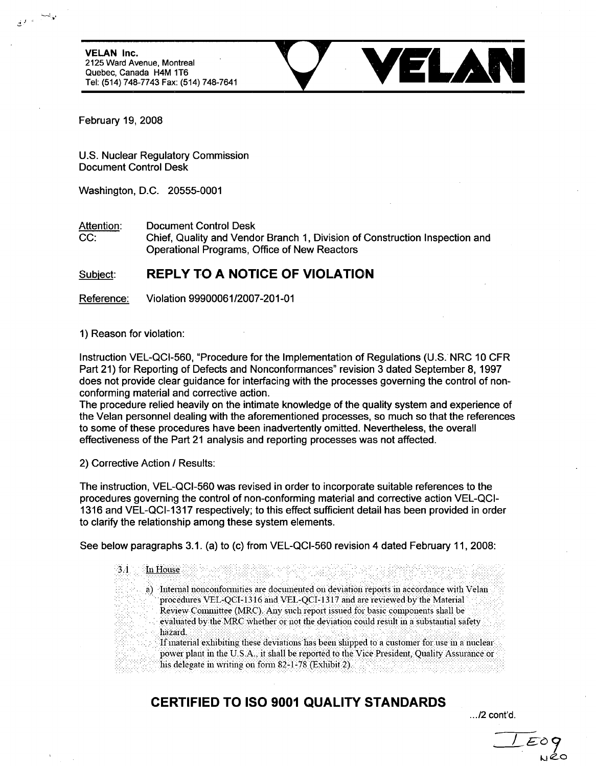2125 Ward Avenue, Montreal Quebec, Canada H4M 1T6 Tel: (514) 748-7743 Fax: (514) 748-7641

VELAR Inc. .T Y••• • ' • • **VELA N**

February 19, 2008

U.S. Nuclear Regulatory Commission Document Control Desk

Washington, D.C. 20555-0001

Attention: Document Control Desk

CC: Chief, Quality and Vendor Branch 1, Division of Construction Inspection and Operational Programs, Office of New Reactors

## Subject: REPLY TO **A NOTICE** OF **VIOLATION**

Reference: Violation 99900061/2007-201-01

1) Reason for violation:

Instruction VEL-QCI-560, "Procedure for the Implementation of Regulations (U.S. NRC 10 CFR Part 21) for Reporting of Defects and Nonconformances" revision 3 dated September 8, 1997 does not provide clear guidance for interfacing with the processes governing the control of nonconforming material and corrective action.

The procedure relied heavily on the intimate knowledge of the quality system and experience of the Velan personnel dealing with the aforementioned processes, so much so that the references to some of these procedures have been inadvertently omitted. Nevertheless, the overall effectiveness of the Part 21 analysis and reporting processes was not affected.

2) Corrective Action **/** Results:

The instruction, VEL-QCI-560 was revised in order to incorporate suitable references to the procedures governing the control of non-conforming material and corrective action VEL-QCI-1316 and VEL-QCI-1317 respectively; to this effect sufficient detail has been provided in order to clarify the relationship among these system elements.

See below paragraphs 3.1. (a) to (c) from VEL-QCI-560 revision 4 dated February 11, 2008:

**3.** 1 n House **. .. . ...-..-...** a) Internal nonconformities are documented on deviation reports in accordance with Velan procedures VEL-QCI-1316 and VEL-QCI-1317 and are reviewed by the Material Review Committee (MRC). Any such report issued for basic components shall be evaluated by the MRC whether or not the deviation could result in a substantial safety . "If inaterial exhibiting these deviations has been shipped to a customer for use in a nuclear.<br>If inaterial exhibiting these deviations has been shipped to a customer for use in a nuclear power plant in the U.S.A., it shall be reported to the Vice President, Quality Assurance or **Inis delegate in writing on form 82-1-78 (Exhibit 2).** 

## CERTIFIED TO **ISO 9001 QUALITY STANDARDS**

*./2* cont'd.

**LI**